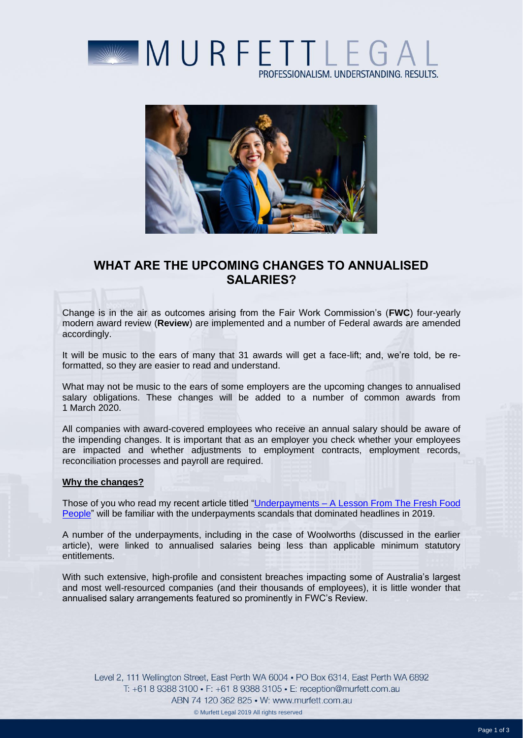



# **WHAT ARE THE UPCOMING CHANGES TO ANNUALISED SALARIES?**

Change is in the air as outcomes arising from the Fair Work Commission's (**FWC**) four-yearly modern award review (**Review**) are implemented and a number of Federal awards are amended accordingly.

It will be music to the ears of many that 31 awards will get a face-lift; and, we're told, be reformatted, so they are easier to read and understand.

What may not be music to the ears of some employers are the upcoming changes to annualised salary obligations. These changes will be added to a number of common awards from 1 March 2020.

All companies with award-covered employees who receive an annual salary should be aware of the impending changes. It is important that as an employer you check whether your employees are impacted and whether adjustments to employment contracts, employment records, reconciliation processes and payroll are required.

### **Why the changes?**

Those of you who read my recent article titled "Underpayments – [A Lesson From The Fresh Food](https://www.murfett.com.au/Media-and-Resources/Articles/Underpayments-A-Lesson-from-The-Fresh-Food-Peopl)  [People"](https://www.murfett.com.au/Media-and-Resources/Articles/Underpayments-A-Lesson-from-The-Fresh-Food-Peopl) will be familiar with the underpayments scandals that dominated headlines in 2019.

A number of the underpayments, including in the case of Woolworths (discussed in the earlier article), were linked to annualised salaries being less than applicable minimum statutory entitlements.

With such extensive, high-profile and consistent breaches impacting some of Australia's largest and most well-resourced companies (and their thousands of employees), it is little wonder that annualised salary arrangements featured so prominently in FWC's Review.

Level 2, 111 Wellington Street, East Perth WA 6004 . PO Box 6314, East Perth WA 6892 T: +61 8 9388 3100 • F: +61 8 9388 3105 • E: reception@murfett.com.au ABN 74 120 362 825 • W: www.murfett.com.au

© Murfett Legal 2019 All rights reserved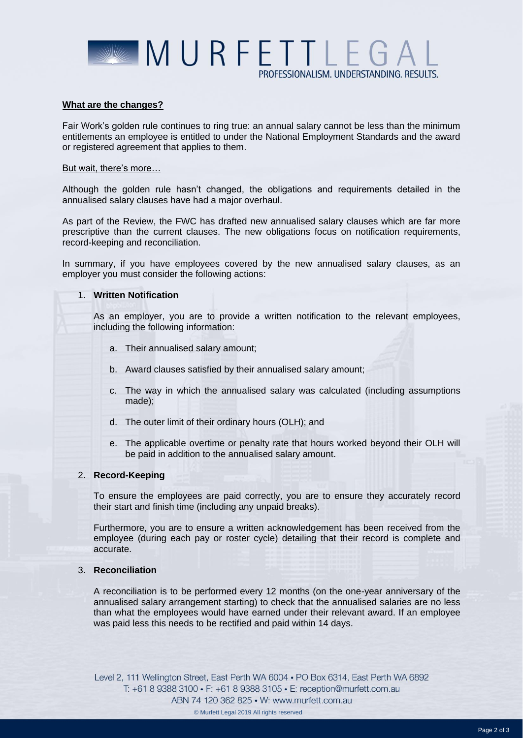

### **What are the changes?**

Fair Work's golden rule continues to ring true: an annual salary cannot be less than the minimum entitlements an employee is entitled to under the National Employment Standards and the award or registered agreement that applies to them.

## But wait, there's more…

Although the golden rule hasn't changed, the obligations and requirements detailed in the annualised salary clauses have had a major overhaul.

As part of the Review, the FWC has drafted new annualised salary clauses which are far more prescriptive than the current clauses. The new obligations focus on notification requirements, record-keeping and reconciliation.

In summary, if you have employees covered by the new annualised salary clauses, as an employer you must consider the following actions:

## 1. **Written Notification**

As an employer, you are to provide a written notification to the relevant employees, including the following information:

- a. Their annualised salary amount;
- b. Award clauses satisfied by their annualised salary amount;
- c. The way in which the annualised salary was calculated (including assumptions made);
- d. The outer limit of their ordinary hours (OLH); and
- e. The applicable overtime or penalty rate that hours worked beyond their OLH will be paid in addition to the annualised salary amount.

### 2. **Record-Keeping**

To ensure the employees are paid correctly, you are to ensure they accurately record their start and finish time (including any unpaid breaks).

Furthermore, you are to ensure a written acknowledgement has been received from the employee (during each pay or roster cycle) detailing that their record is complete and accurate.

## 3. **Reconciliation**

A reconciliation is to be performed every 12 months (on the one-year anniversary of the annualised salary arrangement starting) to check that the annualised salaries are no less than what the employees would have earned under their relevant award. If an employee was paid less this needs to be rectified and paid within 14 days.

Level 2, 111 Wellington Street, East Perth WA 6004 . PO Box 6314, East Perth WA 6892 T: +61 8 9388 3100 • F: +61 8 9388 3105 • E: reception@murfett.com.au ABN 74 120 362 825 • W: www.murfett.com.au

© Murfett Legal 2019 All rights reserved